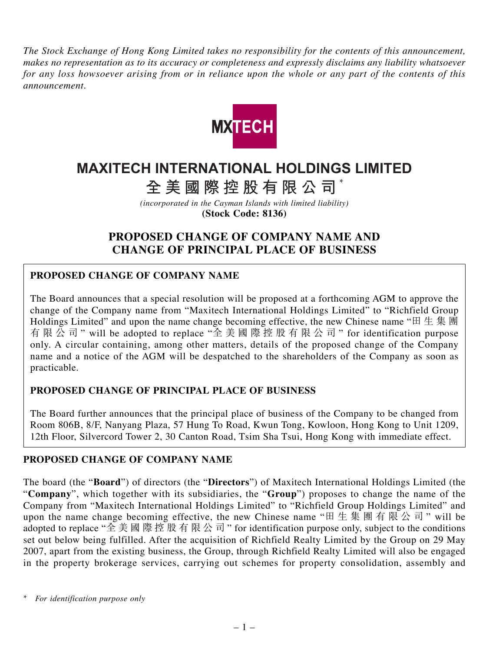*The Stock Exchange of Hong Kong Limited takes no responsibility for the contents of this announcement, makes no representation as to its accuracy or completeness and expressly disclaims any liability whatsoever for any loss howsoever arising from or in reliance upon the whole or any part of the contents of this announcement.*



# **MAXITECH INTERNATIONAL HOLDINGS LIMITED**

**全美國際控股有限公司** \*

*(incorporated in the Cayman Islands with limited liability)* **(Stock Code: 8136)**

# **PROPOSED CHANGE OF COMPANY NAME AND CHANGE OF PRINCIPAL PLACE OF BUSINESS**

## **PROPOSED CHANGE OF COMPANY NAME**

The Board announces that a special resolution will be proposed at a forthcoming AGM to approve the change of the Company name from "Maxitech International Holdings Limited" to "Richfield Group Holdings Limited" and upon the name change becoming effective, the new Chinese name "田生集團 有限公司 " will be adopted to replace "全美國際控股有限公司 " for identification purpose only. A circular containing, among other matters, details of the proposed change of the Company name and a notice of the AGM will be despatched to the shareholders of the Company as soon as practicable.

### **PROPOSED CHANGE OF PRINCIPAL PLACE OF BUSINESS**

The Board further announces that the principal place of business of the Company to be changed from Room 806B, 8/F, Nanyang Plaza, 57 Hung To Road, Kwun Tong, Kowloon, Hong Kong to Unit 1209, 12th Floor, Silvercord Tower 2, 30 Canton Road, Tsim Sha Tsui, Hong Kong with immediate effect.

### **PROPOSED CHANGE OF COMPANY NAME**

The board (the "**Board**") of directors (the "**Directors**") of Maxitech International Holdings Limited (the "**Company**", which together with its subsidiaries, the "**Group**") proposes to change the name of the Company from "Maxitech International Holdings Limited" to "Richfield Group Holdings Limited" and upon the name change becoming effective, the new Chinese name "田生集團有限公司 " will be adopted to replace "全美國際控股有限公司" for identification purpose only, subject to the conditions set out below being fulfilled. After the acquisition of Richfield Realty Limited by the Group on 29 May 2007, apart from the existing business, the Group, through Richfield Realty Limited will also be engaged in the property brokerage services, carrying out schemes for property consolidation, assembly and

*<sup>\*</sup> For identification purpose only*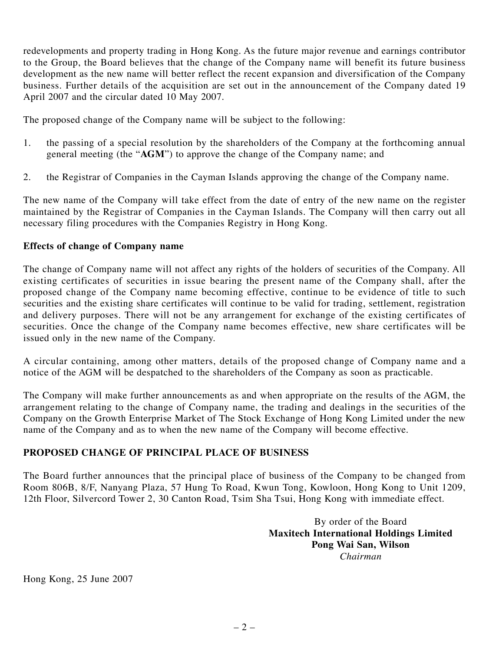redevelopments and property trading in Hong Kong. As the future major revenue and earnings contributor to the Group, the Board believes that the change of the Company name will benefit its future business development as the new name will better reflect the recent expansion and diversification of the Company business. Further details of the acquisition are set out in the announcement of the Company dated 19 April 2007 and the circular dated 10 May 2007.

The proposed change of the Company name will be subject to the following:

- 1. the passing of a special resolution by the shareholders of the Company at the forthcoming annual general meeting (the "**AGM**") to approve the change of the Company name; and
- 2. the Registrar of Companies in the Cayman Islands approving the change of the Company name.

The new name of the Company will take effect from the date of entry of the new name on the register maintained by the Registrar of Companies in the Cayman Islands. The Company will then carry out all necessary filing procedures with the Companies Registry in Hong Kong.

#### **Effects of change of Company name**

The change of Company name will not affect any rights of the holders of securities of the Company. All existing certificates of securities in issue bearing the present name of the Company shall, after the proposed change of the Company name becoming effective, continue to be evidence of title to such securities and the existing share certificates will continue to be valid for trading, settlement, registration and delivery purposes. There will not be any arrangement for exchange of the existing certificates of securities. Once the change of the Company name becomes effective, new share certificates will be issued only in the new name of the Company.

A circular containing, among other matters, details of the proposed change of Company name and a notice of the AGM will be despatched to the shareholders of the Company as soon as practicable.

The Company will make further announcements as and when appropriate on the results of the AGM, the arrangement relating to the change of Company name, the trading and dealings in the securities of the Company on the Growth Enterprise Market of The Stock Exchange of Hong Kong Limited under the new name of the Company and as to when the new name of the Company will become effective.

#### **PROPOSED CHANGE OF PRINCIPAL PLACE OF BUSINESS**

The Board further announces that the principal place of business of the Company to be changed from Room 806B, 8/F, Nanyang Plaza, 57 Hung To Road, Kwun Tong, Kowloon, Hong Kong to Unit 1209, 12th Floor, Silvercord Tower 2, 30 Canton Road, Tsim Sha Tsui, Hong Kong with immediate effect.

> By order of the Board **Maxitech International Holdings Limited Pong Wai San, Wilson** *Chairman*

Hong Kong, 25 June 2007